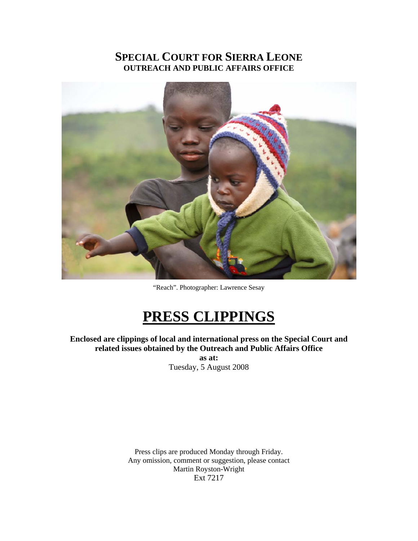# **SPECIAL COURT FOR SIERRA LEONE OUTREACH AND PUBLIC AFFAIRS OFFICE**



"Reach". Photographer: Lawrence Sesay

# **PRESS CLIPPINGS**

**Enclosed are clippings of local and international press on the Special Court and related issues obtained by the Outreach and Public Affairs Office** 

**as at:**  Tuesday, 5 August 2008

Press clips are produced Monday through Friday. Any omission, comment or suggestion, please contact Martin Royston-Wright Ext 7217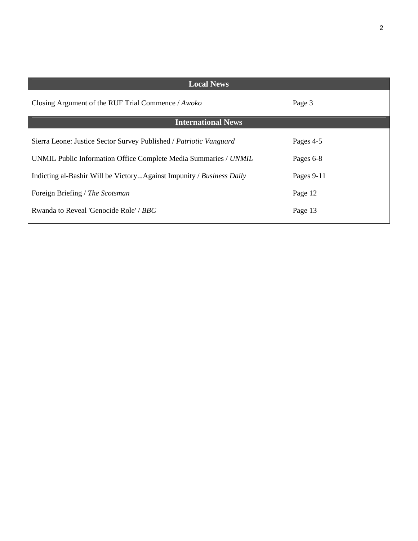| <b>Local News</b>                                                    |            |
|----------------------------------------------------------------------|------------|
| Closing Argument of the RUF Trial Commence / Awoko                   | Page 3     |
| <b>International News</b>                                            |            |
| Sierra Leone: Justice Sector Survey Published / Patriotic Vanguard   | Pages 4-5  |
| UNMIL Public Information Office Complete Media Summaries / UNMIL     | Pages 6-8  |
| Indicting al-Bashir Will be VictoryAgainst Impunity / Business Daily | Pages 9-11 |
| Foreign Briefing / The Scotsman                                      | Page 12    |
| Rwanda to Reveal 'Genocide Role' / BBC                               | Page 13    |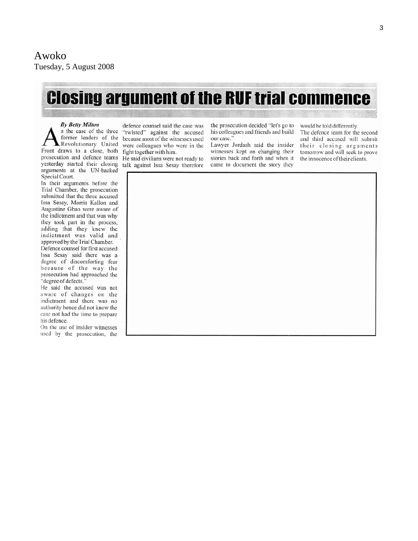# **Closing argument of the RUF trial commence**

**By Betty Milton** 

s the case of the three former leaders of the Revolutionary United Front draws to a close, both prosecution and defence teams yesterday started their closing arguments at the UN-backed Special Court.

In their arguments before the Trial Chamber, the prosecution submitted that the three accused Issa Sesay, Morris Kallon and Augustine Gbao were aware of the indictment and that was why they took part in the process, adding that they knew the indictment was valid and approved by the Trial Chamber.

Defence counsel for first accused Issa Sesay said there was a degree of discomforting fear because of the way the prosecution had approached the "degree of defects."

He said the accused was not aware of changes on the indictment and there was no authority hence did not know the case not had the time to prepare his defence.

On the use of insider witnesses used by the prosecution, the

defence counsel said the case was "twisted" against the accused because most of the witnesses used were colleagues who were in the fight together with him.

He said civilians were not ready to talk against Issa Sesay therefore

the prosecution decided "let's go to his colleagues and friends and build our case.'

Lawyer Jordash said the insider witnesses kept on changing their stories back and forth and when it came to document the story they

would be told differently.

The defence team for the second and third accused will submit their closing arguments tomorrow and will seek to prove the innocence of their clients.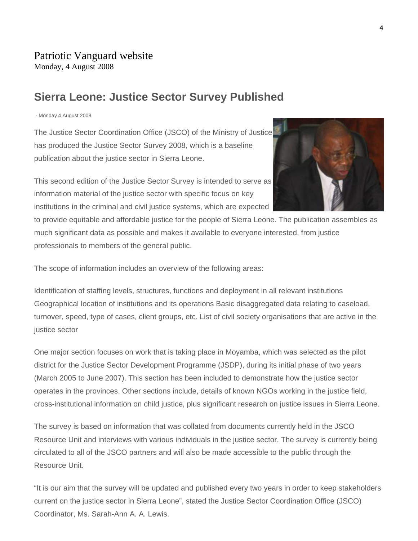# **Sierra Leone: Justice Sector Survey Published**

- Monday 4 August 2008.

The Justice Sector Coordination Office (JSCO) of the Ministry of Justice has produced the Justice Sector Survey 2008, which is a baseline publication about the justice sector in Sierra Leone.

This second edition of the Justice Sector Survey is intended to serve as information material of the justice sector with specific focus on key institutions in the criminal and civil justice systems, which are expected

to provide equitable and affordable justice for the people of Sierra Leone. The publication assembles as much significant data as possible and makes it available to everyone interested, from justice professionals to members of the general public.

The scope of information includes an overview of the following areas:

Identification of staffing levels, structures, functions and deployment in all relevant institutions Geographical location of institutions and its operations Basic disaggregated data relating to caseload, turnover, speed, type of cases, client groups, etc. List of civil society organisations that are active in the justice sector

One major section focuses on work that is taking place in Moyamba, which was selected as the pilot district for the Justice Sector Development Programme (JSDP), during its initial phase of two years (March 2005 to June 2007). This section has been included to demonstrate how the justice sector operates in the provinces. Other sections include, details of known NGOs working in the justice field, cross-institutional information on child justice, plus significant research on justice issues in Sierra Leone.

The survey is based on information that was collated from documents currently held in the JSCO Resource Unit and interviews with various individuals in the justice sector. The survey is currently being circulated to all of the JSCO partners and will also be made accessible to the public through the Resource Unit.

"It is our aim that the survey will be updated and published every two years in order to keep stakeholders current on the justice sector in Sierra Leone", stated the Justice Sector Coordination Office (JSCO) Coordinator, Ms. Sarah-Ann A. A. Lewis.

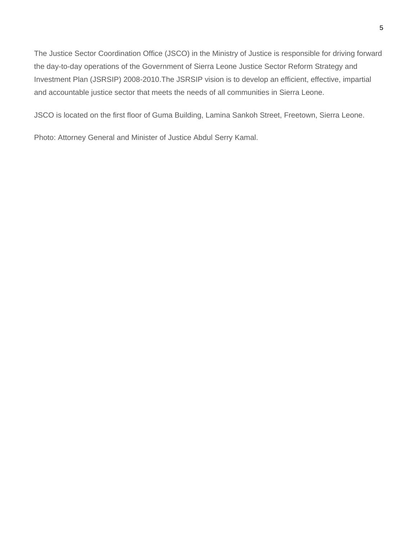The Justice Sector Coordination Office (JSCO) in the Ministry of Justice is responsible for driving forward the day-to-day operations of the Government of Sierra Leone Justice Sector Reform Strategy and Investment Plan (JSRSIP) 2008-2010.The JSRSIP vision is to develop an efficient, effective, impartial and accountable justice sector that meets the needs of all communities in Sierra Leone.

JSCO is located on the first floor of Guma Building, Lamina Sankoh Street, Freetown, Sierra Leone.

Photo: Attorney General and Minister of Justice Abdul Serry Kamal.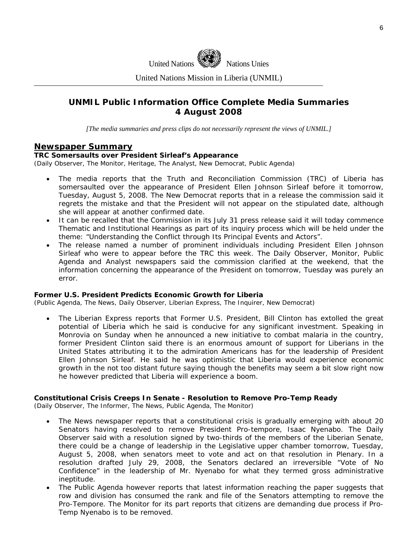

United Nations Mission in Liberia (UNMIL)

## **UNMIL Public Information Office Complete Media Summaries 4 August 2008**

*[The media summaries and press clips do not necessarily represent the views of UNMIL.]* 

## **Newspaper Summary**

#### **TRC Somersaults over President Sirleaf's Appearance**

(Daily Observer, The Monitor, Heritage, The Analyst, New Democrat, Public Agenda)

- The media reports that the Truth and Reconciliation Commission (TRC) of Liberia has somersaulted over the appearance of President Ellen Johnson Sirleaf before it tomorrow, Tuesday, August 5, 2008. The New Democrat reports that in a release the commission said it regrets the mistake and that the President will not appear on the stipulated date, although she will appear at another confirmed date.
- It can be recalled that the Commission in its July 31 press release said it will today commence Thematic and Institutional Hearings as part of its inquiry process which will be held under the theme: "Understanding the Conflict through Its Principal Events and Actors".
- The release named a number of prominent individuals including President Ellen Johnson Sirleaf who were to appear before the TRC this week. The Daily Observer, Monitor, Public Agenda and Analyst newspapers said the commission clarified at the weekend, that the information concerning the appearance of the President on tomorrow, Tuesday was purely an error.

#### **Former U.S. President Predicts Economic Growth for Liberia**

(Public Agenda, The News, Daily Observer, Liberian Express, The Inquirer, New Democrat)

• The Liberian Express reports that Former U.S. President, Bill Clinton has extolled the great potential of Liberia which he said is conducive for any significant investment. Speaking in Monrovia on Sunday when he announced a new initiative to combat malaria in the country, former President Clinton said there is an enormous amount of support for Liberians in the United States attributing it to the admiration Americans has for the leadership of President Ellen Johnson Sirleaf. He said he was optimistic that Liberia would experience economic growth in the not too distant future saying though the benefits may seem a bit slow right now he however predicted that Liberia will experience a boom.

#### **Constitutional Crisis Creeps In Senate - Resolution to Remove Pro-Temp Ready**

(Daily Observer, The Informer, The News, Public Agenda, The Monitor)

- The News newspaper reports that a constitutional crisis is gradually emerging with about 20 Senators having resolved to remove President Pro-tempore, Isaac Nyenabo. The Daily Observer said with a resolution signed by two-thirds of the members of the Liberian Senate, there could be a change of leadership in the Legislative upper chamber tomorrow, Tuesday, August 5, 2008, when senators meet to vote and act on that resolution in Plenary. In a resolution drafted July 29, 2008, the Senators declared an irreversible "Vote of No Confidence" in the leadership of Mr. Nyenabo for what they termed gross administrative ineptitude.
- The Public Agenda however reports that latest information reaching the paper suggests that row and division has consumed the rank and file of the Senators attempting to remove the Pro-Tempore. The Monitor for its part reports that citizens are demanding due process if Pro-Temp Nyenabo is to be removed.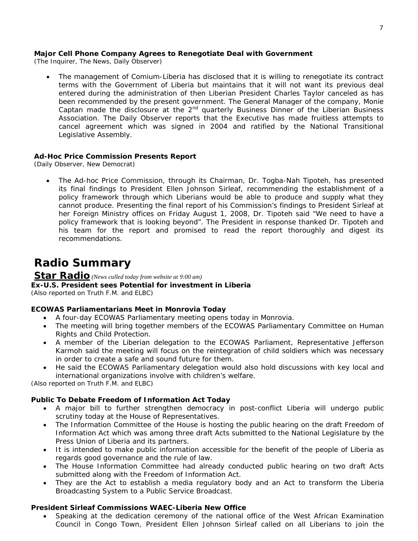#### **Major Cell Phone Company Agrees to Renegotiate Deal with Government**

(The Inquirer, The News, Daily Observer)

cancel agreement which was signed in 2004 and ratified by the National Transitional Legislative Assembly. • The management of Comium-Liberia has disclosed that it is willing to renegotiate its contract terms with the Government of Liberia but maintains that it will not want its previous deal entered during the administration of then Liberian President Charles Taylor canceled as has been recommended by the present government. The General Manager of the company, Monie Captan made the disclosure at the 2nd quarterly Business Dinner of the Liberian Business Association. The Daily Observer reports that the Executive has made fruitless attempts to

## **Ad-Hoc Price Commission Presents Report**

(Daily Observer, New Democrat)

his team for the report and promised to read the report thoroughly and digest its recommendations. • The Ad-hoc Price Commission, through its Chairman, Dr. Togba-Nah Tipoteh, has presented its final findings to President Ellen Johnson Sirleaf, recommending the establishment of a policy framework through which Liberians would be able to produce and supply what they cannot produce. Presenting the final report of his Commission's findings to President Sirleaf at her Foreign Ministry offices on Friday August 1, 2008, Dr. Tipoteh said "We need to have a policy framework that is looking beyond". The President in response thanked Dr. Tipoteh and

# **Radio Summary**

# **Star Radio** *(News culled today from website at 9:00 am)*

# **Ex-U.S. President sees Potential for investment in Liberia**

*(Also reported on Truth F.M. and ELBC)* 

## **ECOWAS Parliamentarians Meet in Monrovia Today**

- A four-day ECOWAS Parliamentary meeting opens today in Monrovia.
- The meeting will bring together members of the ECOWAS Parliamentary Committee on Human Rights and Child Protection.
- Karmoh said the meeting will focus on the reintegration of child soldiers which was necessary • A member of the Liberian delegation to the ECOWAS Parliament, Representative Jefferson in order to create a safe and sound future for them.
- He said the ECOWAS Parliamentary delegation would also hold discussions with key local and international organizations involve with children's welfare.

*(Also reported on Truth F.M. and ELBC)* 

## **Public To Debate Freedom of Information Act Today**

- A major bill to further strengthen democracy in post-conflict Liberia will undergo public scrutiny today at the House of Representatives.
- The Information Committee of the House is hosting the public hearing on the draft Freedom of Information Act which was among three draft Acts submitted to the National Legislature by the Press Union of Liberia and its partners.
- It is intended to make public information accessible for the benefit of the people of Liberia as regards good governance and the rule of law.
- The House Information Committee had already conducted public hearing on two draft Acts submitted along with the Freedom of Information Act.
- They are the Act to establish a media regulatory body and an Act to transform the Liberia Broadcasting System to a Public Service Broadcast.

### **President Sirleaf Commissions WAEC-Liberia New Office**

• Speaking at the dedication ceremony of the national office of the West African Examination Council in Congo Town, President Ellen Johnson Sirleaf called on all Liberians to join the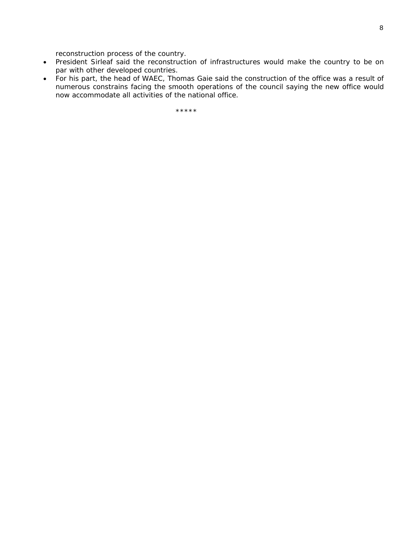reconstruction process of the country.

- President Sirleaf said the reconstruction of infrastructures would make the country to be on par with other developed countries.
- For his part, the head of WAEC, Thomas Gaie said the construction of the office was a result of numerous constrains facing the smooth operations of the council saying the new office would now accommodate all activities of the national office.

\*\*\*\*\*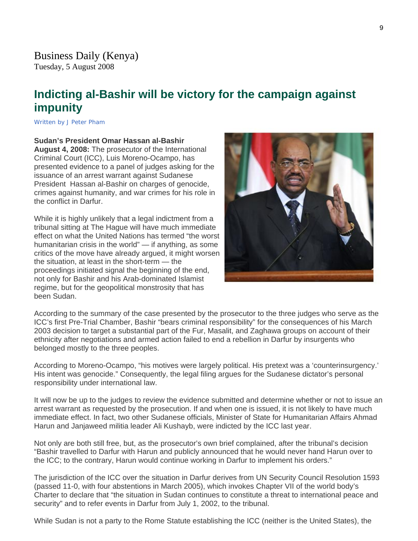# **Indicting al-Bashir will be victory for the campaign against impunity**

Written by J Peter Pham

**Sudan's President Omar Hassan al-Bashir August 4, 2008:** The prosecutor of the International Criminal Court (ICC), Luis Moreno-Ocampo, has presented evidence to a panel of judges asking for the issuance of an arrest warrant against Sudanese President Hassan al-Bashir on charges of genocide, crimes against humanity, and war crimes for his role in the conflict in Darfur.

While it is highly unlikely that a legal indictment from a tribunal sitting at The Hague will have much immediate effect on what the United Nations has termed "the worst humanitarian crisis in the world" — if anything, as some critics of the move have already argued, it might worsen the situation, at least in the short-term — the proceedings initiated signal the beginning of the end, not only for Bashir and his Arab-dominated Islamist regime, but for the geopolitical monstrosity that has been Sudan.



According to the summary of the case presented by the prosecutor to the three judges who serve as the ICC's first Pre-Trial Chamber, Bashir "bears criminal responsibility" for the consequences of his March 2003 decision to target a substantial part of the Fur, Masalit, and Zaghawa groups on account of their ethnicity after negotiations and armed action failed to end a rebellion in Darfur by insurgents who belonged mostly to the three peoples.

According to Moreno-Ocampo, "his motives were largely political. His pretext was a 'counterinsurgency.' His intent was genocide." Consequently, the legal filing argues for the Sudanese dictator's personal responsibility under international law.

It will now be up to the judges to review the evidence submitted and determine whether or not to issue an arrest warrant as requested by the prosecution. If and when one is issued, it is not likely to have much immediate effect. In fact, two other Sudanese officials, Minister of State for Humanitarian Affairs Ahmad Harun and Janjaweed militia leader Ali Kushayb, were indicted by the ICC last year.

Not only are both still free, but, as the prosecutor's own brief complained, after the tribunal's decision "Bashir travelled to Darfur with Harun and publicly announced that he would never hand Harun over to the ICC; to the contrary, Harun would continue working in Darfur to implement his orders."

The jurisdiction of the ICC over the situation in Darfur derives from UN Security Council Resolution 1593 (passed 11-0, with four abstentions in March 2005), which invokes Chapter VII of the world body's Charter to declare that "the situation in Sudan continues to constitute a threat to international peace and security" and to refer events in Darfur from July 1, 2002, to the tribunal.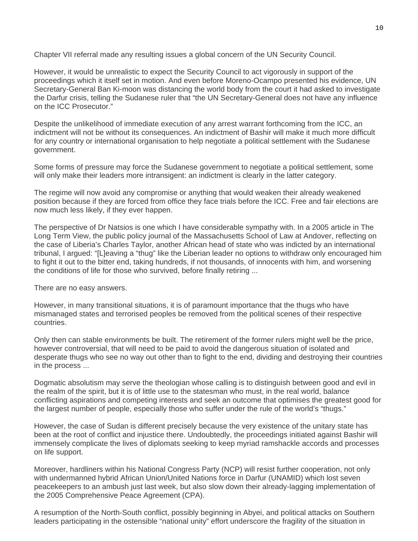Chapter VII referral made any resulting issues a global concern of the UN Security Council.

However, it would be unrealistic to expect the Security Council to act vigorously in support of the proceedings which it itself set in motion. And even before Moreno-Ocampo presented his evidence, UN Secretary-General Ban Ki-moon was distancing the world body from the court it had asked to investigate the Darfur crisis, telling the Sudanese ruler that "the UN Secretary-General does not have any influence on the ICC Prosecutor."

Despite the unlikelihood of immediate execution of any arrest warrant forthcoming from the ICC, an indictment will not be without its consequences. An indictment of Bashir will make it much more difficult for any country or international organisation to help negotiate a political settlement with the Sudanese government.

Some forms of pressure may force the Sudanese government to negotiate a political settlement, some will only make their leaders more intransigent: an indictment is clearly in the latter category.

The regime will now avoid any compromise or anything that would weaken their already weakened position because if they are forced from office they face trials before the ICC. Free and fair elections are now much less likely, if they ever happen.

The perspective of Dr Natsios is one which I have considerable sympathy with. In a 2005 article in The Long Term View, the public policy journal of the Massachusetts School of Law at Andover, reflecting on the case of Liberia's Charles Taylor, another African head of state who was indicted by an international tribunal, I argued: "[L]eaving a "thug" like the Liberian leader no options to withdraw only encouraged him to fight it out to the bitter end, taking hundreds, if not thousands, of innocents with him, and worsening the conditions of life for those who survived, before finally retiring ...

There are no easy answers.

However, in many transitional situations, it is of paramount importance that the thugs who have mismanaged states and terrorised peoples be removed from the political scenes of their respective countries.

Only then can stable environments be built. The retirement of the former rulers might well be the price, however controversial, that will need to be paid to avoid the dangerous situation of isolated and desperate thugs who see no way out other than to fight to the end, dividing and destroying their countries in the process ...

Dogmatic absolutism may serve the theologian whose calling is to distinguish between good and evil in the realm of the spirit, but it is of little use to the statesman who must, in the real world, balance conflicting aspirations and competing interests and seek an outcome that optimises the greatest good for the largest number of people, especially those who suffer under the rule of the world's "thugs."

However, the case of Sudan is different precisely because the very existence of the unitary state has been at the root of conflict and injustice there. Undoubtedly, the proceedings initiated against Bashir will immensely complicate the lives of diplomats seeking to keep myriad ramshackle accords and processes on life support.

Moreover, hardliners within his National Congress Party (NCP) will resist further cooperation, not only with undermanned hybrid African Union/United Nations force in Darfur (UNAMID) which lost seven peacekeepers to an ambush just last week, but also slow down their already-lagging implementation of the 2005 Comprehensive Peace Agreement (CPA).

A resumption of the North-South conflict, possibly beginning in Abyei, and political attacks on Southern leaders participating in the ostensible "national unity" effort underscore the fragility of the situation in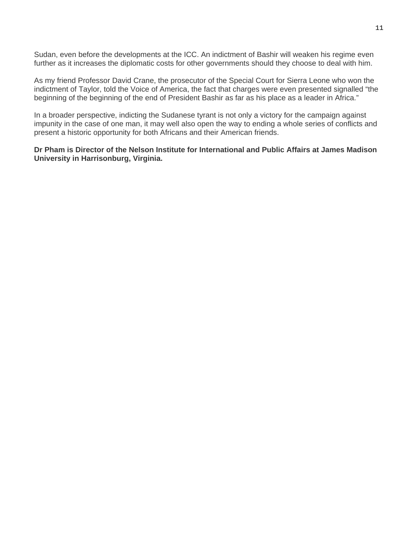Sudan, even before the developments at the ICC. An indictment of Bashir will weaken his regime even further as it increases the diplomatic costs for other governments should they choose to deal with him.

As my friend Professor David Crane, the prosecutor of the Special Court for Sierra Leone who won the indictment of Taylor, told the Voice of America, the fact that charges were even presented signalled "the beginning of the beginning of the end of President Bashir as far as his place as a leader in Africa."

In a broader perspective, indicting the Sudanese tyrant is not only a victory for the campaign against impunity in the case of one man, it may well also open the way to ending a whole series of conflicts and present a historic opportunity for both Africans and their American friends.

**Dr Pham is Director of the Nelson Institute for International and Public Affairs at James Madison University in Harrisonburg, Virginia.**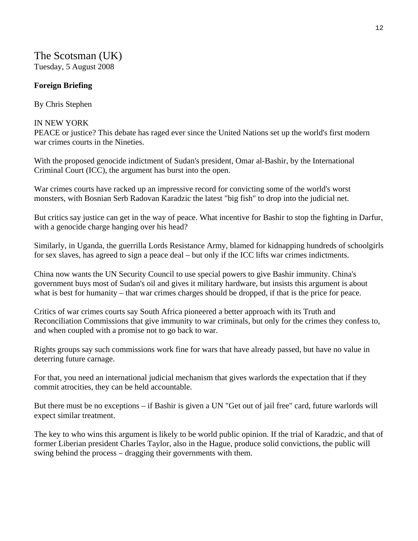# The Scotsman (UK) Tuesday, 5 August 2008

## **Foreign Briefing**

By Chris Stephen

## IN NEW YORK

PEACE or justice? This debate has raged ever since the United Nations set up the world's first modern war crimes courts in the Nineties.

With the proposed genocide indictment of Sudan's president, Omar al-Bashir, by the International Criminal Court (ICC), the argument has burst into the open.

War crimes courts have racked up an impressive record for convicting some of the world's worst monsters, with Bosnian Serb Radovan Karadzic the latest "big fish" to drop into the judicial net.

But critics say justice can get in the way of peace. What incentive for Bashir to stop the fighting in Darfur, with a genocide charge hanging over his head?

Similarly, in Uganda, the guerrilla Lords Resistance Army, blamed for kidnapping hundreds of schoolgirls for sex slaves, has agreed to sign a peace deal – but only if the ICC lifts war crimes indictments.

China now wants the UN Security Council to use special powers to give Bashir immunity. China's government buys most of Sudan's oil and gives it military hardware, but insists this argument is about what is best for humanity – that war crimes charges should be dropped, if that is the price for peace.

Critics of war crimes courts say South Africa pioneered a better approach with its Truth and Reconciliation Commissions that give immunity to war criminals, but only for the crimes they confess to, and when coupled with a promise not to go back to war.

Rights groups say such commissions work fine for wars that have already passed, but have no value in deterring future carnage.

For that, you need an international judicial mechanism that gives warlords the expectation that if they commit atrocities, they can be held accountable.

But there must be no exceptions – if Bashir is given a UN "Get out of jail free" card, future warlords will expect similar treatment.

The key to who wins this argument is likely to be world public opinion. If the trial of Karadzic, and that of former Liberian president Charles Taylor, also in the Hague, produce solid convictions, the public will swing behind the process – dragging their governments with them.